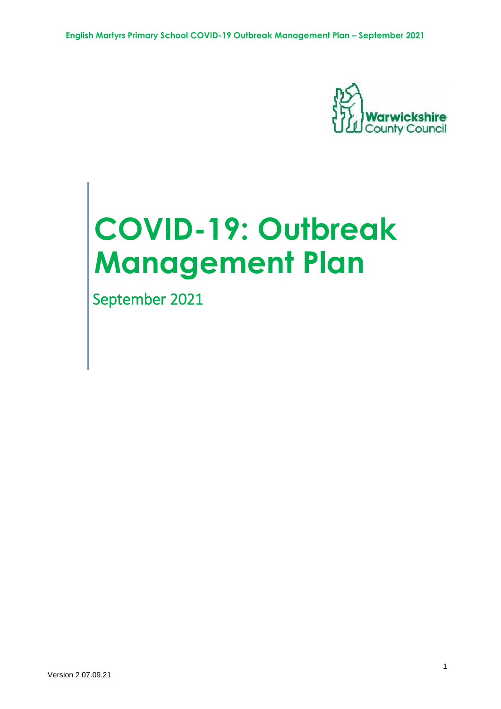

# **COVID-19: Outbreak Management Plan**

September 2021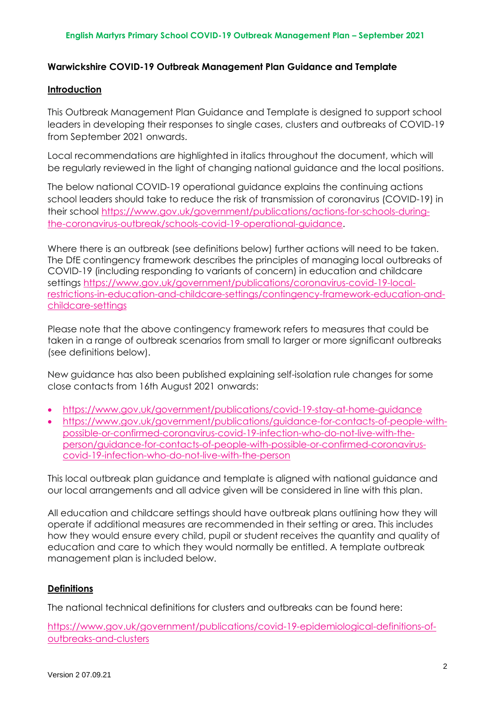# **Warwickshire COVID-19 Outbreak Management Plan Guidance and Template**

## **Introduction**

This Outbreak Management Plan Guidance and Template is designed to support school leaders in developing their responses to single cases, clusters and outbreaks of COVID-19 from September 2021 onwards.

Local recommendations are highlighted in italics throughout the document, which will be regularly reviewed in the light of changing national guidance and the local positions.

The below national COVID-19 operational guidance explains the continuing actions school leaders should take to reduce the risk of transmission of coronavirus (COVID-19) in their school [https://www.gov.uk/government/publications/actions-for-schools-during](https://www.gov.uk/government/publications/actions-for-schools-during-the-coronavirus-outbreak/schools-covid-19-operational-guidance)[the-coronavirus-outbreak/schools-covid-19-operational-guidance.](https://www.gov.uk/government/publications/actions-for-schools-during-the-coronavirus-outbreak/schools-covid-19-operational-guidance)

Where there is an outbreak (see definitions below) further actions will need to be taken. The DfE contingency framework describes the principles of managing local outbreaks of COVID-19 (including responding to variants of concern) in education and childcare settings [https://www.gov.uk/government/publications/coronavirus-covid-19-local](https://www.gov.uk/government/publications/coronavirus-covid-19-local-restrictions-in-education-and-childcare-settings/contingency-framework-education-and-childcare-settings)[restrictions-in-education-and-childcare-settings/contingency-framework-education-and](https://www.gov.uk/government/publications/coronavirus-covid-19-local-restrictions-in-education-and-childcare-settings/contingency-framework-education-and-childcare-settings)[childcare-settings](https://www.gov.uk/government/publications/coronavirus-covid-19-local-restrictions-in-education-and-childcare-settings/contingency-framework-education-and-childcare-settings)

Please note that the above contingency framework refers to measures that could be taken in a range of outbreak scenarios from small to larger or more significant outbreaks (see definitions below).

New guidance has also been published explaining self-isolation rule changes for some close contacts from 16th August 2021 onwards:

- <https://www.gov.uk/government/publications/covid-19-stay-at-home-guidance>
- [https://www.gov.uk/government/publications/guidance-for-contacts-of-people-with](https://www.gov.uk/government/publications/guidance-for-contacts-of-people-with-possible-or-confirmed-coronavirus-covid-19-infection-who-do-not-live-with-the-person/guidance-for-contacts-of-people-with-possible-or-confirmed-coronavirus-covid-19-infection-who-do-not-live-with-the-person)[possible-or-confirmed-coronavirus-covid-19-infection-who-do-not-live-with-the](https://www.gov.uk/government/publications/guidance-for-contacts-of-people-with-possible-or-confirmed-coronavirus-covid-19-infection-who-do-not-live-with-the-person/guidance-for-contacts-of-people-with-possible-or-confirmed-coronavirus-covid-19-infection-who-do-not-live-with-the-person)[person/guidance-for-contacts-of-people-with-possible-or-confirmed-coronavirus](https://www.gov.uk/government/publications/guidance-for-contacts-of-people-with-possible-or-confirmed-coronavirus-covid-19-infection-who-do-not-live-with-the-person/guidance-for-contacts-of-people-with-possible-or-confirmed-coronavirus-covid-19-infection-who-do-not-live-with-the-person)[covid-19-infection-who-do-not-live-with-the-person](https://www.gov.uk/government/publications/guidance-for-contacts-of-people-with-possible-or-confirmed-coronavirus-covid-19-infection-who-do-not-live-with-the-person/guidance-for-contacts-of-people-with-possible-or-confirmed-coronavirus-covid-19-infection-who-do-not-live-with-the-person)

This local outbreak plan guidance and template is aligned with national guidance and our local arrangements and all advice given will be considered in line with this plan.

All education and childcare settings should have outbreak plans outlining how they will operate if additional measures are recommended in their setting or area. This includes how they would ensure every child, pupil or student receives the quantity and quality of education and care to which they would normally be entitled. A template outbreak management plan is included below.

# **Definitions**

The national technical definitions for clusters and outbreaks can be found here:

[https://www.gov.uk/government/publications/covid-19-epidemiological-definitions-of](https://www.gov.uk/government/publications/covid-19-epidemiological-definitions-of-outbreaks-and-clusters)[outbreaks-and-clusters](https://www.gov.uk/government/publications/covid-19-epidemiological-definitions-of-outbreaks-and-clusters)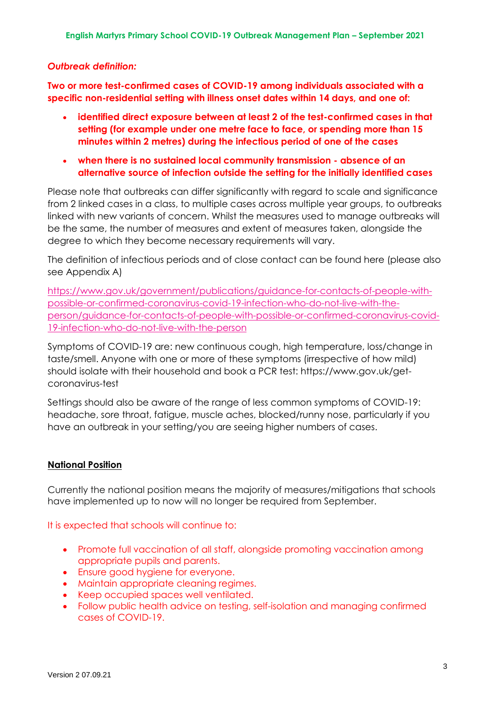## *Outbreak definition:*

**Two or more test-confirmed cases of COVID-19 among individuals associated with a specific non-residential setting with illness onset dates within 14 days, and one of:**

- **identified direct exposure between at least 2 of the test-confirmed cases in that setting (for example under one metre face to face, or spending more than 15 minutes within 2 metres) during the infectious period of one of the cases**
- **when there is no sustained local community transmission - absence of an alternative source of infection outside the setting for the initially identified cases**

Please note that outbreaks can differ significantly with regard to scale and significance from 2 linked cases in a class, to multiple cases across multiple year groups, to outbreaks linked with new variants of concern. Whilst the measures used to manage outbreaks will be the same, the number of measures and extent of measures taken, alongside the degree to which they become necessary requirements will vary.

The definition of infectious periods and of close contact can be found here (please also see Appendix A)

[https://www.gov.uk/government/publications/guidance-for-contacts-of-people-with](https://www.gov.uk/government/publications/guidance-for-contacts-of-people-with-possible-or-confirmed-coronavirus-covid-19-infection-who-do-not-live-with-the-person/guidance-for-contacts-of-people-with-possible-or-confirmed-coronavirus-covid-19-infection-who-do-not-live-with-the-person)[possible-or-confirmed-coronavirus-covid-19-infection-who-do-not-live-with-the](https://www.gov.uk/government/publications/guidance-for-contacts-of-people-with-possible-or-confirmed-coronavirus-covid-19-infection-who-do-not-live-with-the-person/guidance-for-contacts-of-people-with-possible-or-confirmed-coronavirus-covid-19-infection-who-do-not-live-with-the-person)[person/guidance-for-contacts-of-people-with-possible-or-confirmed-coronavirus-covid-](https://www.gov.uk/government/publications/guidance-for-contacts-of-people-with-possible-or-confirmed-coronavirus-covid-19-infection-who-do-not-live-with-the-person/guidance-for-contacts-of-people-with-possible-or-confirmed-coronavirus-covid-19-infection-who-do-not-live-with-the-person)[19-infection-who-do-not-live-with-the-person](https://www.gov.uk/government/publications/guidance-for-contacts-of-people-with-possible-or-confirmed-coronavirus-covid-19-infection-who-do-not-live-with-the-person/guidance-for-contacts-of-people-with-possible-or-confirmed-coronavirus-covid-19-infection-who-do-not-live-with-the-person)

Symptoms of COVID-19 are: new continuous cough, high temperature, loss/change in taste/smell. Anyone with one or more of these symptoms (irrespective of how mild) should isolate with their household and book a PCR test: https://www.gov.uk/getcoronavirus-test

Settings should also be aware of the range of less common symptoms of COVID-19: headache, sore throat, fatigue, muscle aches, blocked/runny nose, particularly if you have an outbreak in your setting/you are seeing higher numbers of cases.

# **National Position**

Currently the national position means the majority of measures/mitigations that schools have implemented up to now will no longer be required from September.

#### It is expected that schools will continue to:

- Promote full vaccination of all staff, alongside promoting vaccination among appropriate pupils and parents.
- Ensure good hygiene for everyone.
- Maintain appropriate cleaning regimes.
- Keep occupied spaces well ventilated.
- Follow public health advice on testing, self-isolation and managing confirmed cases of COVID-19.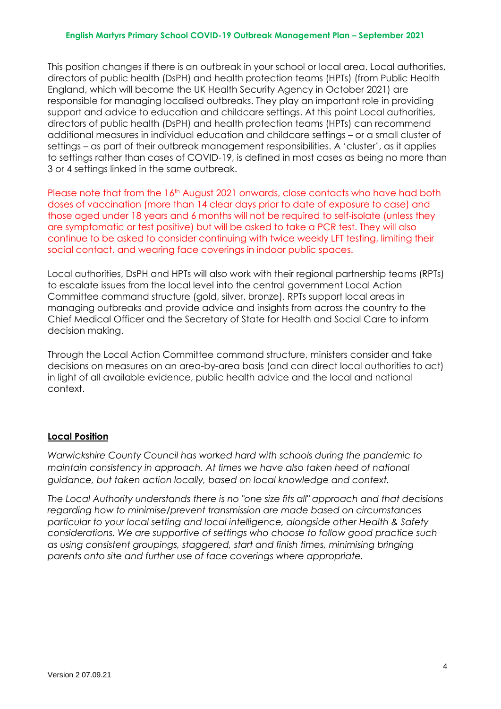This position changes if there is an outbreak in your school or local area. Local authorities, directors of public health (DsPH) and health protection teams (HPTs) (from Public Health England, which will become the UK Health Security Agency in October 2021) are responsible for managing localised outbreaks. They play an important role in providing support and advice to education and childcare settings. At this point Local authorities, directors of public health (DsPH) and health protection teams (HPTs) can recommend additional measures in individual education and childcare settings – or a small cluster of settings – as part of their outbreak management responsibilities. A 'cluster', as it applies to settings rather than cases of COVID-19, is defined in most cases as being no more than 3 or 4 settings linked in the same outbreak.

Please note that from the 16<sup>th</sup> August 2021 onwards, close contacts who have had both doses of vaccination (more than 14 clear days prior to date of exposure to case) and those aged under 18 years and 6 months will not be required to self-isolate (unless they are symptomatic or test positive) but will be asked to take a PCR test. They will also continue to be asked to consider continuing with twice weekly LFT testing, limiting their social contact, and wearing face coverings in indoor public spaces.

Local authorities, DsPH and HPTs will also work with their regional partnership teams (RPTs) to escalate issues from the local level into the central government Local Action Committee command structure (gold, silver, bronze). RPTs support local areas in managing outbreaks and provide advice and insights from across the country to the Chief Medical Officer and the Secretary of State for Health and Social Care to inform decision making.

Through the Local Action Committee command structure, ministers consider and take decisions on measures on an area-by-area basis (and can direct local authorities to act) in light of all available evidence, public health advice and the local and national context.

# **Local Position**

*Warwickshire County Council has worked hard with schools during the pandemic to maintain consistency in approach. At times we have also taken heed of national guidance, but taken action locally, based on local knowledge and context.*

*The Local Authority understands there is no "one size fits all" approach and that decisions regarding how to minimise/prevent transmission are made based on circumstances particular to your local setting and local intelligence, alongside other Health & Safety considerations. We are supportive of settings who choose to follow good practice such as using consistent groupings, staggered, start and finish times, minimising bringing parents onto site and further use of face coverings where appropriate.*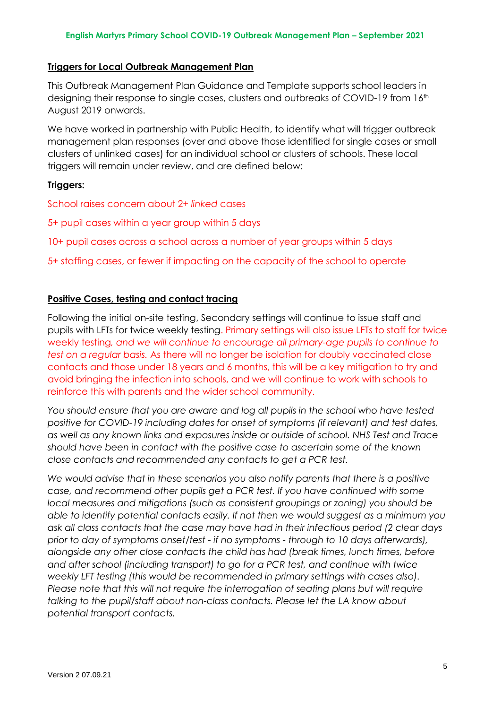#### **Triggers for Local Outbreak Management Plan**

This Outbreak Management Plan Guidance and Template supports school leaders in designing their response to single cases, clusters and outbreaks of COVID-19 from 16th August 2019 onwards.

We have worked in partnership with Public Health, to identify what will trigger outbreak management plan responses (over and above those identified for single cases or small clusters of unlinked cases) for an individual school or clusters of schools. These local triggers will remain under review, and are defined below:

## **Triggers:**

School raises concern about 2+ *linked* cases

5+ pupil cases within a year group within 5 days

10+ pupil cases across a school across a number of year groups within 5 days

5+ staffing cases, or fewer if impacting on the capacity of the school to operate

# **Positive Cases, testing and contact tracing**

Following the initial on-site testing, Secondary settings will continue to issue staff and pupils with LFTs for twice weekly testing. Primary settings will also issue LFTs to staff for twice weekly testing*, and we will continue to encourage all primary-age pupils to continue to test on a regular basis.* As there will no longer be isolation for doubly vaccinated close contacts and those under 18 years and 6 months, this will be a key mitigation to try and avoid bringing the infection into schools, and we will continue to work with schools to reinforce this with parents and the wider school community.

*You should ensure that you are aware and log all pupils in the school who have tested positive for COVID-19 including dates for onset of symptoms (if relevant) and test dates, as well as any known links and exposures inside or outside of school. NHS Test and Trace should have been in contact with the positive case to ascertain some of the known close contacts and recommended any contacts to get a PCR test.* 

*We would advise that in these scenarios you also notify parents that there is a positive case, and recommend other pupils get a PCR test. If you have continued with some local measures and mitigations (such as consistent groupings or zoning) you should be able to identify potential contacts easily. If not then we would suggest as a minimum you ask all class contacts that the case may have had in their infectious period (2 clear days prior to day of symptoms onset/test - if no symptoms - through to 10 days afterwards), alongside any other close contacts the child has had (break times, lunch times, before and after school (including transport) to go for a PCR test, and continue with twice weekly LFT testing (this would be recommended in primary settings with cases also). Please note that this will not require the interrogation of seating plans but will require talking to the pupil/staff about non-class contacts. Please let the LA know about potential transport contacts.*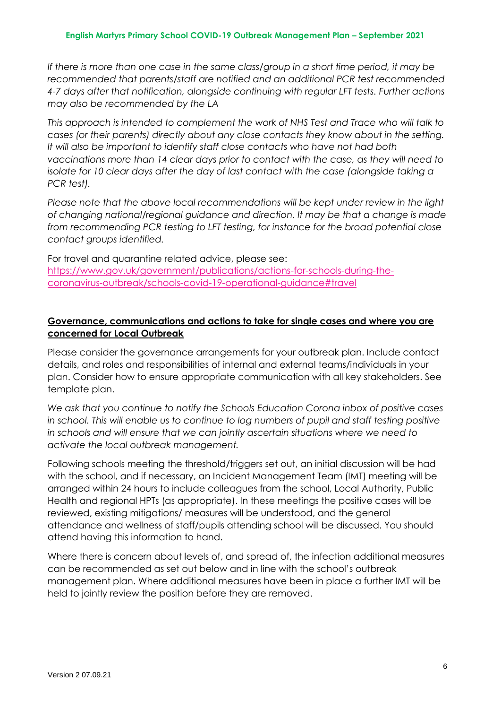*If there is more than one case in the same class/group in a short time period, it may be recommended that parents/staff are notified and an additional PCR test recommended 4-7 days after that notification, alongside continuing with regular LFT tests. Further actions may also be recommended by the LA*

*This approach is intended to complement the work of NHS Test and Trace who will talk to cases (or their parents) directly about any close contacts they know about in the setting. It will also be important to identify staff close contacts who have not had both vaccinations more than 14 clear days prior to contact with the case, as they will need to isolate for 10 clear days after the day of last contact with the case (alongside taking a PCR test).*

*Please note that the above local recommendations will be kept under review in the light of changing national/regional guidance and direction. It may be that a change is made from recommending PCR testing to LFT testing, for instance for the broad potential close contact groups identified.* 

For travel and quarantine related advice, please see: [https://www.gov.uk/government/publications/actions-for-schools-during-the](https://www.gov.uk/government/publications/actions-for-schools-during-the-coronavirus-outbreak/schools-covid-19-operational-guidance#travel)[coronavirus-outbreak/schools-covid-19-operational-guidance#travel](https://www.gov.uk/government/publications/actions-for-schools-during-the-coronavirus-outbreak/schools-covid-19-operational-guidance#travel)

# **Governance, communications and actions to take for single cases and where you are concerned for Local Outbreak**

Please consider the governance arrangements for your outbreak plan. Include contact details, and roles and responsibilities of internal and external teams/individuals in your plan. Consider how to ensure appropriate communication with all key stakeholders. See template plan.

*We ask that you continue to notify the Schools Education Corona inbox of positive cases in school. This will enable us to continue to log numbers of pupil and staff testing positive in schools and will ensure that we can jointly ascertain situations where we need to activate the local outbreak management.*

Following schools meeting the threshold/triggers set out, an initial discussion will be had with the school, and if necessary, an Incident Management Team (IMT) meeting will be arranged within 24 hours to include colleagues from the school, Local Authority, Public Health and regional HPTs (as appropriate). In these meetings the positive cases will be reviewed, existing mitigations/ measures will be understood, and the general attendance and wellness of staff/pupils attending school will be discussed. You should attend having this information to hand.

Where there is concern about levels of, and spread of, the infection additional measures can be recommended as set out below and in line with the school's outbreak management plan. Where additional measures have been in place a further IMT will be held to jointly review the position before they are removed.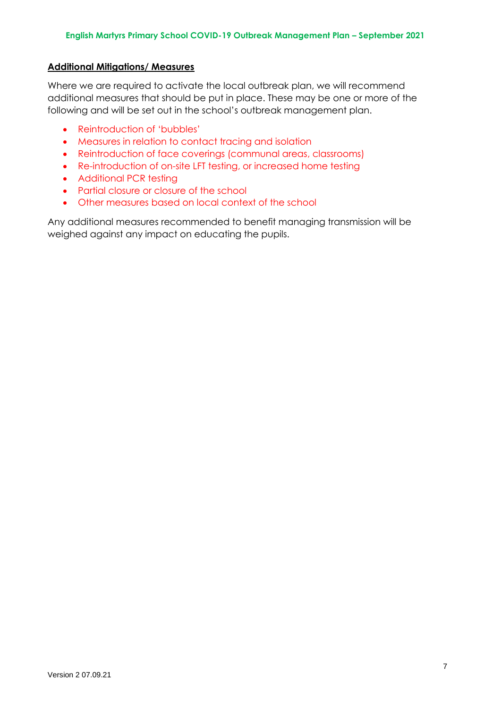# **Additional Mitigations/ Measures**

Where we are required to activate the local outbreak plan, we will recommend additional measures that should be put in place. These may be one or more of the following and will be set out in the school's outbreak management plan.

- Reintroduction of 'bubbles'
- Measures in relation to contact tracing and isolation
- Reintroduction of face coverings (communal areas, classrooms)
- Re-introduction of on-site LFT testing, or increased home testing
- Additional PCR testing
- Partial closure or closure of the school
- Other measures based on local context of the school

Any additional measures recommended to benefit managing transmission will be weighed against any impact on educating the pupils.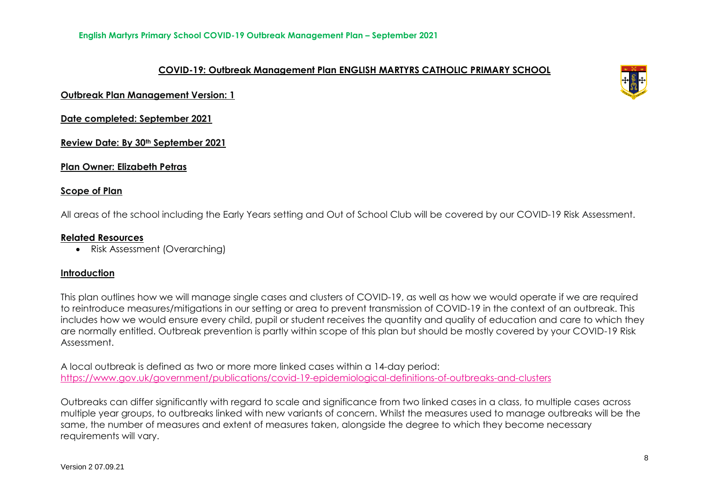# **COVID-19: Outbreak Management Plan ENGLISH MARTYRS CATHOLIC PRIMARY SCHOOL**

**Outbreak Plan Management Version: 1**

**Date completed: September 2021**

**Review Date: By 30th September 2021**

**Plan Owner: Elizabeth Petras**

#### **Scope of Plan**

All areas of the school including the Early Years setting and Out of School Club will be covered by our COVID-19 Risk Assessment.

#### **Related Resources**

Risk Assessment (Overarching)

## **Introduction**

This plan outlines how we will manage single cases and clusters of COVID-19, as well as how we would operate if we are required to reintroduce measures/mitigations in our setting or area to prevent transmission of COVID-19 in the context of an outbreak. This includes how we would ensure every child, pupil or student receives the quantity and quality of education and care to which they are normally entitled. Outbreak prevention is partly within scope of this plan but should be mostly covered by your COVID-19 Risk Assessment.

A local outbreak is defined as two or more more linked cases within a 14-day period: <https://www.gov.uk/government/publications/covid-19-epidemiological-definitions-of-outbreaks-and-clusters>

Outbreaks can differ significantly with regard to scale and significance from two linked cases in a class, to multiple cases across multiple year groups, to outbreaks linked with new variants of concern. Whilst the measures used to manage outbreaks will be the same, the number of measures and extent of measures taken, alongside the degree to which they become necessary requirements will vary.

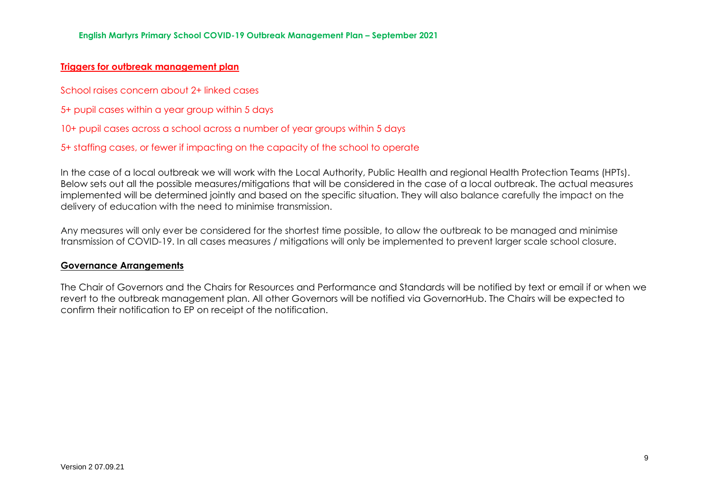# **Triggers for outbreak management plan**

School raises concern about 2+ linked cases

5+ pupil cases within a year group within 5 days

10+ pupil cases across a school across a number of year groups within 5 days

5+ staffing cases, or fewer if impacting on the capacity of the school to operate

In the case of a local outbreak we will work with the Local Authority, Public Health and regional Health Protection Teams (HPTs). Below sets out all the possible measures/mitigations that will be considered in the case of a local outbreak. The actual measures implemented will be determined jointly and based on the specific situation. They will also balance carefully the impact on the delivery of education with the need to minimise transmission.

Any measures will only ever be considered for the shortest time possible, to allow the outbreak to be managed and minimise transmission of COVID-19. In all cases measures / mitigations will only be implemented to prevent larger scale school closure.

#### **Governance Arrangements**

The Chair of Governors and the Chairs for Resources and Performance and Standards will be notified by text or email if or when we revert to the outbreak management plan. All other Governors will be notified via GovernorHub. The Chairs will be expected to confirm their notification to EP on receipt of the notification.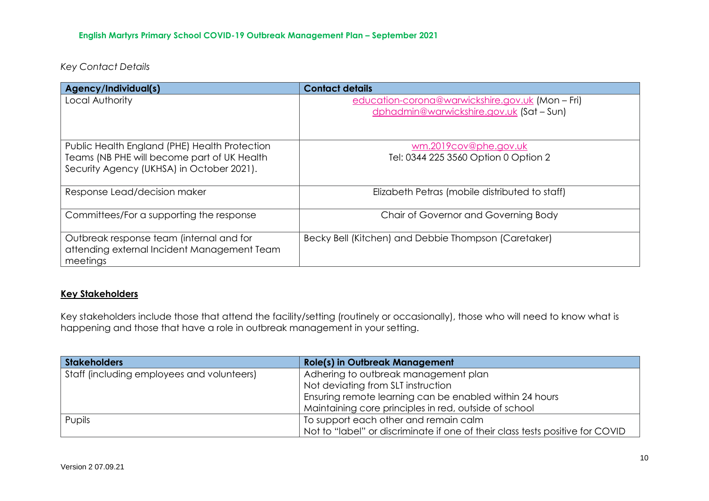*Key Contact Details*

| Agency/Individual(s)                          | <b>Contact details</b>                               |
|-----------------------------------------------|------------------------------------------------------|
| Local Authority                               | education-corona@warwickshire.gov.uk (Mon - Fri)     |
|                                               | dphadmin@warwickshire.gov.uk (Sat - Sun)             |
|                                               |                                                      |
| Public Health England (PHE) Health Protection | wm.2019cov@phe.gov.uk                                |
| Teams (NB PHE will become part of UK Health   | Tel: 0344 225 3560 Option 0 Option 2                 |
| Security Agency (UKHSA) in October 2021).     |                                                      |
|                                               |                                                      |
| Response Lead/decision maker                  | Elizabeth Petras (mobile distributed to staff)       |
|                                               |                                                      |
| Committees/For a supporting the response      | Chair of Governor and Governing Body                 |
|                                               |                                                      |
| Outbreak response team (internal and for      | Becky Bell (Kitchen) and Debbie Thompson (Caretaker) |
| attending external Incident Management Team   |                                                      |
| meetings                                      |                                                      |

# **Key Stakeholders**

Key stakeholders include those that attend the facility/setting (routinely or occasionally), those who will need to know what is happening and those that have a role in outbreak management in your setting.

| Stakeholders                               | <b>Role(s) in Outbreak Management</b>                                         |
|--------------------------------------------|-------------------------------------------------------------------------------|
| Staff (including employees and volunteers) | Adhering to outbreak management plan                                          |
|                                            | Not deviating from SLT instruction                                            |
|                                            | Ensuring remote learning can be enabled within 24 hours                       |
|                                            | Maintaining core principles in red, outside of school                         |
| Pupils                                     | To support each other and remain calm                                         |
|                                            | Not to "label" or discriminate if one of their class tests positive for COVID |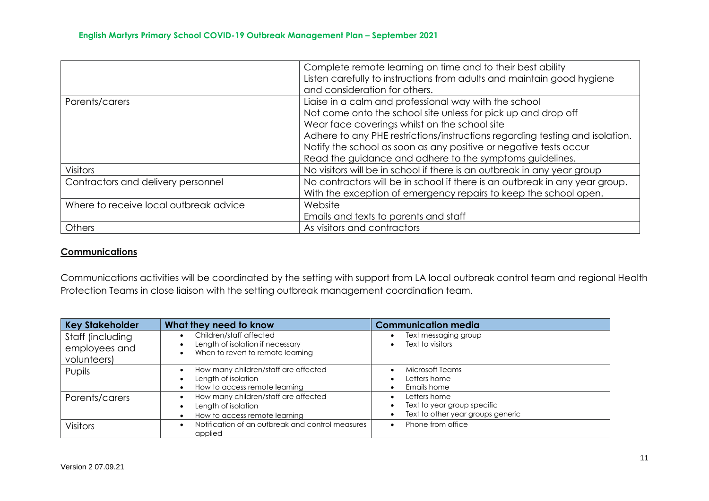|                                        | Complete remote learning on time and to their best ability                   |
|----------------------------------------|------------------------------------------------------------------------------|
|                                        | Listen carefully to instructions from adults and maintain good hygiene       |
|                                        | and consideration for others.                                                |
| Parents/carers                         | Liaise in a calm and professional way with the school                        |
|                                        | Not come onto the school site unless for pick up and drop off                |
|                                        | Wear face coverings whilst on the school site                                |
|                                        | Adhere to any PHE restrictions/instructions regarding testing and isolation. |
|                                        | Notify the school as soon as any positive or negative tests occur            |
|                                        | Read the guidance and adhere to the symptoms guidelines.                     |
| <b>Visitors</b>                        | No visitors will be in school if there is an outbreak in any year group      |
| Contractors and delivery personnel     | No contractors will be in school if there is an outbreak in any year group.  |
|                                        | With the exception of emergency repairs to keep the school open.             |
| Where to receive local outbreak advice | Website                                                                      |
|                                        | Emails and texts to parents and staff                                        |
| Others                                 | As visitors and contractors                                                  |

# **Communications**

Communications activities will be coordinated by the setting with support from LA local outbreak control team and regional Health Protection Teams in close liaison with the setting outbreak management coordination team.

| <b>Key Stakeholder</b>                           | What they need to know                                                                                                     | <b>Communication media</b>                                                       |
|--------------------------------------------------|----------------------------------------------------------------------------------------------------------------------------|----------------------------------------------------------------------------------|
| Staff (including<br>employees and<br>volunteers) | Children/staff affected<br>$\bullet$<br>Length of isolation if necessary<br>$\bullet$<br>When to revert to remote learning | Text messaging group<br>Text to visitors                                         |
| Pupils                                           | How many children/staff are affected<br>$\bullet$<br>Length of isolation<br>How to access remote learning<br>$\bullet$     | Microsoft Teams<br>Letters home<br>Emails home                                   |
| Parents/carers                                   | How many children/staff are affected<br>Length of isolation<br>How to access remote learning                               | Letters home<br>Text to year group specific<br>Text to other year groups generic |
| <b>Visitors</b>                                  | Notification of an outbreak and control measures<br>applied                                                                | Phone from office                                                                |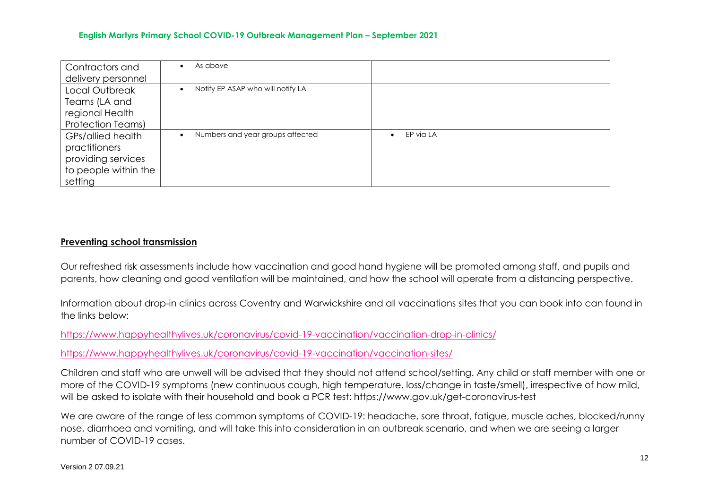| Contractors and          | As above<br>٠                                  |                        |
|--------------------------|------------------------------------------------|------------------------|
| delivery personnel       |                                                |                        |
| Local Outbreak           | Notify EP ASAP who will notify LA<br>$\bullet$ |                        |
| Teams (LA and            |                                                |                        |
| regional Health          |                                                |                        |
| <b>Protection Teams)</b> |                                                |                        |
| GPs/allied health        | Numbers and year groups affected<br>$\bullet$  | EP via LA<br>$\bullet$ |
| practitioners            |                                                |                        |
| providing services       |                                                |                        |
| to people within the     |                                                |                        |
| setting                  |                                                |                        |

## **Preventing school transmission**

Our refreshed risk assessments include how vaccination and good hand hygiene will be promoted among staff, and pupils and parents, how cleaning and good ventilation will be maintained, and how the school will operate from a distancing perspective.

Information about drop-in clinics across Coventry and Warwickshire and all vaccinations sites that you can book into can found in the links below:

<https://www.happyhealthylives.uk/coronavirus/covid-19-vaccination/vaccination-drop-in-clinics/>

<https://www.happyhealthylives.uk/coronavirus/covid-19-vaccination/vaccination-sites/>

Children and staff who are unwell will be advised that they should not attend school/setting. Any child or staff member with one or more of the COVID-19 symptoms (new continuous cough, high temperature, loss/change in taste/smell), irrespective of how mild, will be asked to isolate with their household and book a PCR test: https://www.gov.uk/get-coronavirus-test

We are aware of the range of less common symptoms of COVID-19: headache, sore throat, fatigue, muscle aches, blocked/runny nose, diarrhoea and vomiting, and will take this into consideration in an outbreak scenario, and when we are seeing a larger number of COVID-19 cases.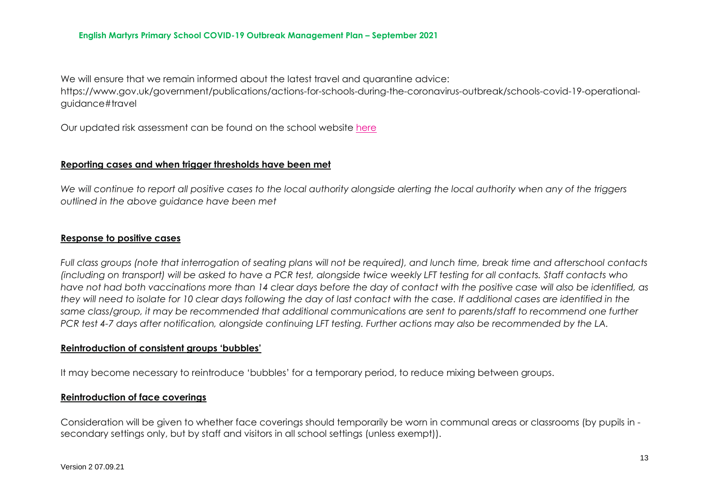We will ensure that we remain informed about the latest travel and augrantine advice:

https://www.gov.uk/government/publications/actions-for-schools-during-the-coronavirus-outbreak/schools-covid-19-operationalguidance#travel

Our updated risk assessment can be found on the school website [here](https://www.englishmartyrs.warwickshire.sch.uk/covid19/)

## **Reporting cases and when trigger thresholds have been met**

*We will continue to report all positive cases to the local authority alongside alerting the local authority when any of the triggers outlined in the above guidance have been met*

## **Response to positive cases**

*Full class groups (note that interrogation of seating plans will not be required), and lunch time, break time and afterschool contacts (including on transport) will be asked to have a PCR test, alongside twice weekly LFT testing for all contacts. Staff contacts who have not had both vaccinations more than 14 clear days before the day of contact with the positive case will also be identified, as they will need to isolate for 10 clear days following the day of last contact with the case. If additional cases are identified in the same class/group, it may be recommended that additional communications are sent to parents/staff to recommend one further PCR test 4-7 days after notification, alongside continuing LFT testing. Further actions may also be recommended by the LA.*

## **Reintroduction of consistent groups 'bubbles'**

It may become necessary to reintroduce 'bubbles' for a temporary period, to reduce mixing between groups.

## **Reintroduction of face coverings**

Consideration will be given to whether face coverings should temporarily be worn in communal areas or classrooms (by pupils in secondary settings only, but by staff and visitors in all school settings (unless exempt)).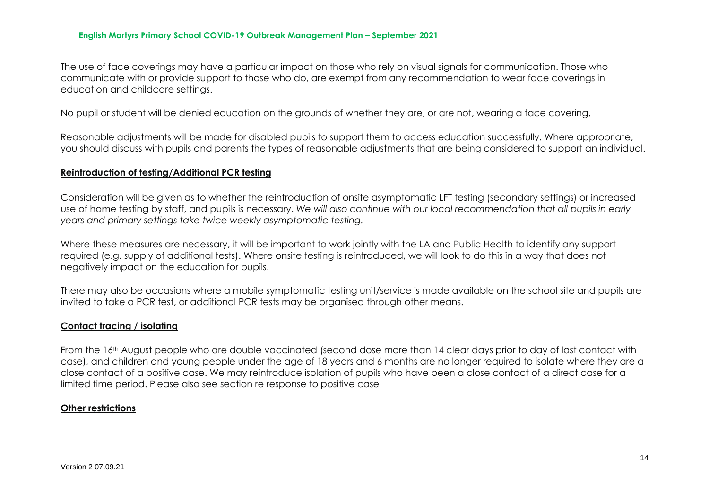The use of face coverings may have a particular impact on those who rely on visual signals for communication. Those who communicate with or provide support to those who do, are exempt from any recommendation to wear face coverings in education and childcare settings.

No pupil or student will be denied education on the grounds of whether they are, or are not, wearing a face covering.

Reasonable adjustments will be made for disabled pupils to support them to access education successfully. Where appropriate, you should discuss with pupils and parents the types of reasonable adjustments that are being considered to support an individual.

#### **Reintroduction of testing/Additional PCR testing**

Consideration will be given as to whether the reintroduction of onsite asymptomatic LFT testing (secondary settings) or increased use of home testing by staff, and pupils is necessary. *We will also continue with our local recommendation that all pupils in early years and primary settings take twice weekly asymptomatic testing.*

Where these measures are necessary, it will be important to work jointly with the LA and Public Health to identify any support required (e.g. supply of additional tests). Where onsite testing is reintroduced, we will look to do this in a way that does not negatively impact on the education for pupils.

There may also be occasions where a mobile symptomatic testing unit/service is made available on the school site and pupils are invited to take a PCR test, or additional PCR tests may be organised through other means.

#### **Contact tracing / isolating**

From the 16<sup>th</sup> August people who are double vaccinated (second dose more than 14 clear days prior to day of last contact with case), and children and young people under the age of 18 years and 6 months are no longer required to isolate where they are a close contact of a positive case. We may reintroduce isolation of pupils who have been a close contact of a direct case for a limited time period. Please also see section re response to positive case

#### **Other restrictions**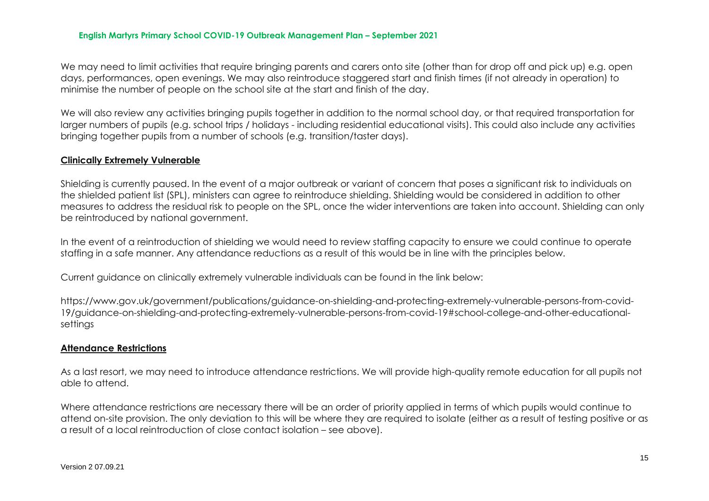We may need to limit activities that require bringing parents and carers onto site (other than for drop off and pick up) e.g. open days, performances, open evenings. We may also reintroduce staggered start and finish times (if not already in operation) to minimise the number of people on the school site at the start and finish of the day.

We will also review any activities bringing pupils together in addition to the normal school day, or that required transportation for larger numbers of pupils (e.g. school trips / holidays - including residential educational visits). This could also include any activities bringing together pupils from a number of schools (e.g. transition/taster days).

#### **Clinically Extremely Vulnerable**

Shielding is currently paused. In the event of a major outbreak or variant of concern that poses a significant risk to individuals on the shielded patient list (SPL), ministers can agree to reintroduce shielding. Shielding would be considered in addition to other measures to address the residual risk to people on the SPL, once the wider interventions are taken into account. Shielding can only be reintroduced by national government.

In the event of a reintroduction of shielding we would need to review staffing capacity to ensure we could continue to operate staffing in a safe manner. Any attendance reductions as a result of this would be in line with the principles below.

Current guidance on clinically extremely vulnerable individuals can be found in the link below:

https://www.gov.uk/government/publications/guidance-on-shielding-and-protecting-extremely-vulnerable-persons-from-covid-19/guidance-on-shielding-and-protecting-extremely-vulnerable-persons-from-covid-19#school-college-and-other-educationalsettings

#### **Attendance Restrictions**

As a last resort, we may need to introduce attendance restrictions. We will provide high-quality remote education for all pupils not able to attend.

Where attendance restrictions are necessary there will be an order of priority applied in terms of which pupils would continue to attend on-site provision. The only deviation to this will be where they are required to isolate (either as a result of testing positive or as a result of a local reintroduction of close contact isolation – see above).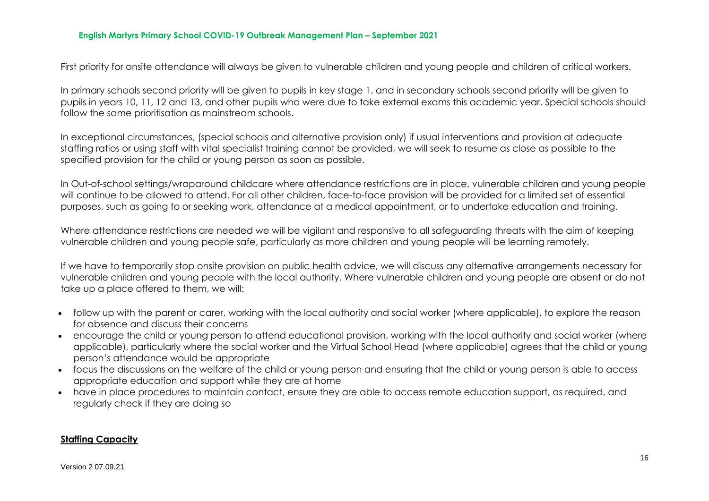First priority for onsite attendance will always be given to vulnerable children and young people and children of critical workers.

In primary schools second priority will be given to pupils in key stage 1, and in secondary schools second priority will be given to pupils in years 10, 11, 12 and 13, and other pupils who were due to take external exams this academic year. Special schools should follow the same prioritisation as mainstream schools.

In exceptional circumstances, (special schools and alternative provision only) if usual interventions and provision at adequate staffing ratios or using staff with vital specialist training cannot be provided, we will seek to resume as close as possible to the specified provision for the child or young person as soon as possible.

In Out-of-school settings/wraparound childcare where attendance restrictions are in place, vulnerable children and young people will continue to be allowed to attend. For all other children, face-to-face provision will be provided for a limited set of essential purposes, such as going to or seeking work, attendance at a medical appointment, or to undertake education and training.

Where attendance restrictions are needed we will be vigilant and responsive to all safeguarding threats with the aim of keeping vulnerable children and young people safe, particularly as more children and young people will be learning remotely.

If we have to temporarily stop onsite provision on public health advice, we will discuss any alternative arrangements necessary for vulnerable children and young people with the local authority. Where vulnerable children and young people are absent or do not take up a place offered to them, we will:

- follow up with the parent or carer, working with the local authority and social worker (where applicable), to explore the reason for absence and discuss their concerns
- encourage the child or young person to attend educational provision, working with the local authority and social worker (where applicable), particularly where the social worker and the Virtual School Head (where applicable) agrees that the child or young person's attendance would be appropriate
- focus the discussions on the welfare of the child or young person and ensuring that the child or young person is able to access appropriate education and support while they are at home
- have in place procedures to maintain contact, ensure they are able to access remote education support, as required, and regularly check if they are doing so

#### **Staffing Capacity**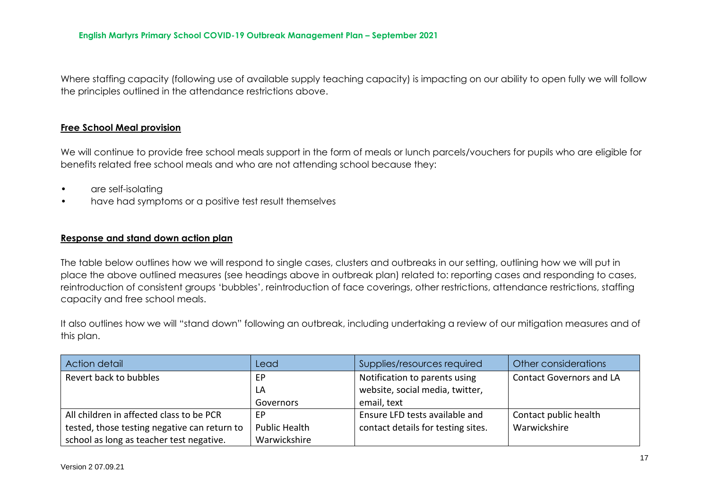Where staffing capacity (following use of available supply teaching capacity) is impacting on our ability to open fully we will follow the principles outlined in the attendance restrictions above.

# **Free School Meal provision**

We will continue to provide free school meals support in the form of meals or lunch parcels/vouchers for pupils who are eligible for benefits related free school meals and who are not attending school because they:

- are self-isolating
- have had symptoms or a positive test result themselves

## **Response and stand down action plan**

The table below outlines how we will respond to single cases, clusters and outbreaks in our setting, outlining how we will put in place the above outlined measures (see headings above in outbreak plan) related to: reporting cases and responding to cases, reintroduction of consistent groups 'bubbles', reintroduction of face coverings, other restrictions, attendance restrictions, staffing capacity and free school meals.

It also outlines how we will "stand down" following an outbreak, including undertaking a review of our mitigation measures and of this plan.

| Action detail                                | Lead                 | Supplies/resources required        | Other considerations            |
|----------------------------------------------|----------------------|------------------------------------|---------------------------------|
| Revert back to bubbles                       | EР                   | Notification to parents using      | <b>Contact Governors and LA</b> |
|                                              | LA                   | website, social media, twitter,    |                                 |
|                                              | Governors            | email, text                        |                                 |
| All children in affected class to be PCR     | EP                   | Ensure LFD tests available and     | Contact public health           |
| tested, those testing negative can return to | <b>Public Health</b> | contact details for testing sites. | Warwickshire                    |
| school as long as teacher test negative.     | Warwickshire         |                                    |                                 |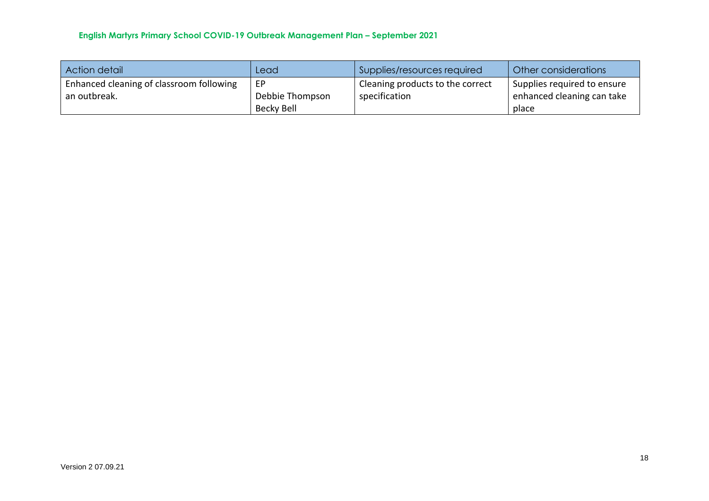| Action detail                            | Lead            | Supplies/resources required      | Other considerations        |
|------------------------------------------|-----------------|----------------------------------|-----------------------------|
| Enhanced cleaning of classroom following | EP              | Cleaning products to the correct | Supplies required to ensure |
| an outbreak.                             | Debbie Thompson | specification                    | enhanced cleaning can take  |
|                                          | Becky Bell      |                                  | place                       |